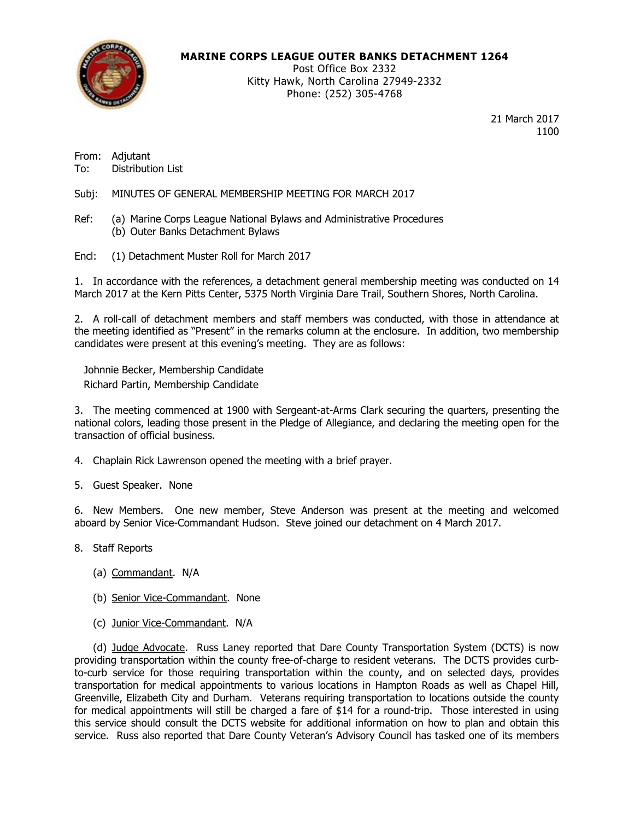

# MARINE CORPS LEAGUE OUTER BANKS DETACHMENT 1264

Post Office Box 2332 Kitty Hawk, North Carolina 27949-2332 Phone: (252) 305-4768

> 21 March 2017 1100

From: Adjutant To: Distribution List

Subj: MINUTES OF GENERAL MEMBERSHIP MEETING FOR MARCH 2017

- Ref: (a) Marine Corps League National Bylaws and Administrative Procedures (b) Outer Banks Detachment Bylaws
- Encl: (1) Detachment Muster Roll for March 2017

1. In accordance with the references, a detachment general membership meeting was conducted on 14 March 2017 at the Kern Pitts Center, 5375 North Virginia Dare Trail, Southern Shores, North Carolina.

2. A roll-call of detachment members and staff members was conducted, with those in attendance at the meeting identified as "Present" in the remarks column at the enclosure. In addition, two membership candidates were present at this evening's meeting. They are as follows:

Johnnie Becker, Membership Candidate Richard Partin, Membership Candidate

3. The meeting commenced at 1900 with Sergeant-at-Arms Clark securing the quarters, presenting the national colors, leading those present in the Pledge of Allegiance, and declaring the meeting open for the transaction of official business.

- 4. Chaplain Rick Lawrenson opened the meeting with a brief prayer.
- 5. Guest Speaker. None

6. New Members. One new member, Steve Anderson was present at the meeting and welcomed aboard by Senior Vice-Commandant Hudson. Steve joined our detachment on 4 March 2017.

8. Staff Reports

- (a) Commandant. N/A
- (b) Senior Vice-Commandant. None
- (c) Junior Vice-Commandant. N/A

 (d) Judge Advocate. Russ Laney reported that Dare County Transportation System (DCTS) is now providing transportation within the county free-of-charge to resident veterans. The DCTS provides curbto-curb service for those requiring transportation within the county, and on selected days, provides transportation for medical appointments to various locations in Hampton Roads as well as Chapel Hill, Greenville, Elizabeth City and Durham. Veterans requiring transportation to locations outside the county for medical appointments will still be charged a fare of \$14 for a round-trip. Those interested in using this service should consult the DCTS website for additional information on how to plan and obtain this service. Russ also reported that Dare County Veteran's Advisory Council has tasked one of its members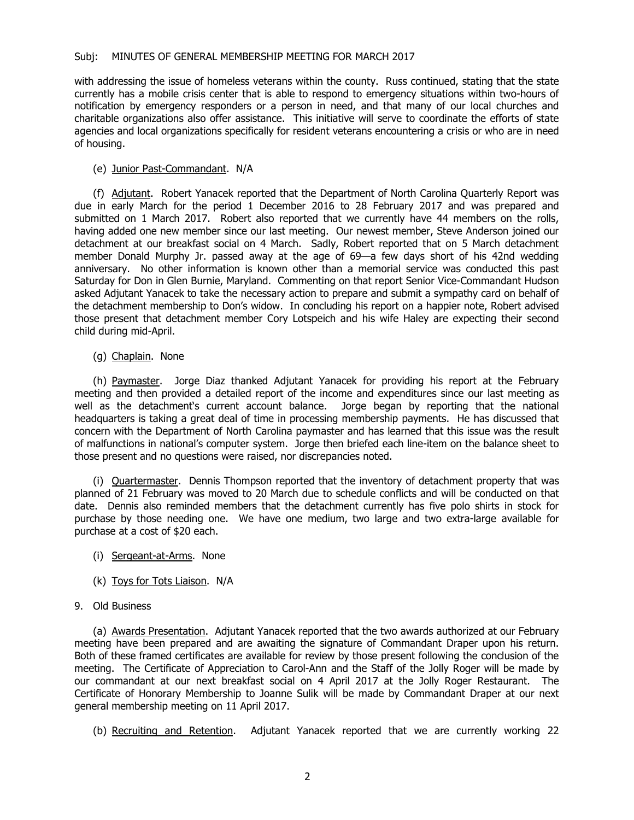with addressing the issue of homeless veterans within the county. Russ continued, stating that the state currently has a mobile crisis center that is able to respond to emergency situations within two-hours of notification by emergency responders or a person in need, and that many of our local churches and charitable organizations also offer assistance. This initiative will serve to coordinate the efforts of state agencies and local organizations specifically for resident veterans encountering a crisis or who are in need of housing.

### (e) Junior Past-Commandant. N/A

 (f) Adjutant. Robert Yanacek reported that the Department of North Carolina Quarterly Report was due in early March for the period 1 December 2016 to 28 February 2017 and was prepared and submitted on 1 March 2017. Robert also reported that we currently have 44 members on the rolls, having added one new member since our last meeting. Our newest member, Steve Anderson joined our detachment at our breakfast social on 4 March. Sadly, Robert reported that on 5 March detachment member Donald Murphy Jr. passed away at the age of 69—a few days short of his 42nd wedding anniversary. No other information is known other than a memorial service was conducted this past Saturday for Don in Glen Burnie, Maryland. Commenting on that report Senior Vice-Commandant Hudson asked Adjutant Yanacek to take the necessary action to prepare and submit a sympathy card on behalf of the detachment membership to Don's widow. In concluding his report on a happier note, Robert advised those present that detachment member Cory Lotspeich and his wife Haley are expecting their second child during mid-April.

#### (g) Chaplain. None

(h) Paymaster. Jorge Diaz thanked Adjutant Yanacek for providing his report at the February meeting and then provided a detailed report of the income and expenditures since our last meeting as well as the detachment's current account balance. Jorge began by reporting that the national headquarters is taking a great deal of time in processing membership payments. He has discussed that concern with the Department of North Carolina paymaster and has learned that this issue was the result of malfunctions in national's computer system. Jorge then briefed each line-item on the balance sheet to those present and no questions were raised, nor discrepancies noted.

 (i) Quartermaster. Dennis Thompson reported that the inventory of detachment property that was planned of 21 February was moved to 20 March due to schedule conflicts and will be conducted on that date. Dennis also reminded members that the detachment currently has five polo shirts in stock for purchase by those needing one. We have one medium, two large and two extra-large available for purchase at a cost of \$20 each.

- (i) Sergeant-at-Arms. None
- (k) Toys for Tots Liaison. N/A

## 9. Old Business

 (a) Awards Presentation. Adjutant Yanacek reported that the two awards authorized at our February meeting have been prepared and are awaiting the signature of Commandant Draper upon his return. Both of these framed certificates are available for review by those present following the conclusion of the meeting. The Certificate of Appreciation to Carol-Ann and the Staff of the Jolly Roger will be made by our commandant at our next breakfast social on 4 April 2017 at the Jolly Roger Restaurant. The Certificate of Honorary Membership to Joanne Sulik will be made by Commandant Draper at our next general membership meeting on 11 April 2017.

(b) Recruiting and Retention. Adjutant Yanacek reported that we are currently working 22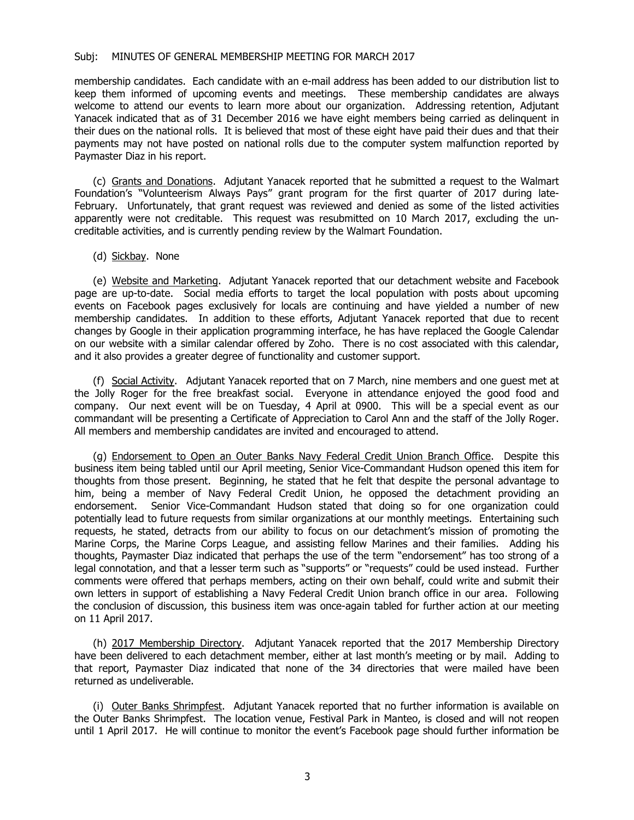#### Subj: MINUTES OF GENERAL MEMBERSHIP MEETING FOR MARCH 2017

membership candidates. Each candidate with an e-mail address has been added to our distribution list to keep them informed of upcoming events and meetings. These membership candidates are always welcome to attend our events to learn more about our organization. Addressing retention, Adjutant Yanacek indicated that as of 31 December 2016 we have eight members being carried as delinquent in their dues on the national rolls. It is believed that most of these eight have paid their dues and that their payments may not have posted on national rolls due to the computer system malfunction reported by Paymaster Diaz in his report.

 (c) Grants and Donations. Adjutant Yanacek reported that he submitted a request to the Walmart Foundation's "Volunteerism Always Pays" grant program for the first quarter of 2017 during late-February. Unfortunately, that grant request was reviewed and denied as some of the listed activities apparently were not creditable. This request was resubmitted on 10 March 2017, excluding the uncreditable activities, and is currently pending review by the Walmart Foundation.

(d) Sickbay. None

 (e) Website and Marketing. Adjutant Yanacek reported that our detachment website and Facebook page are up-to-date. Social media efforts to target the local population with posts about upcoming events on Facebook pages exclusively for locals are continuing and have yielded a number of new membership candidates. In addition to these efforts, Adjutant Yanacek reported that due to recent changes by Google in their application programming interface, he has have replaced the Google Calendar on our website with a similar calendar offered by Zoho. There is no cost associated with this calendar, and it also provides a greater degree of functionality and customer support.

 (f) Social Activity. Adjutant Yanacek reported that on 7 March, nine members and one guest met at the Jolly Roger for the free breakfast social. Everyone in attendance enjoyed the good food and company. Our next event will be on Tuesday, 4 April at 0900. This will be a special event as our commandant will be presenting a Certificate of Appreciation to Carol Ann and the staff of the Jolly Roger. All members and membership candidates are invited and encouraged to attend.

 (g) Endorsement to Open an Outer Banks Navy Federal Credit Union Branch Office. Despite this business item being tabled until our April meeting, Senior Vice-Commandant Hudson opened this item for thoughts from those present. Beginning, he stated that he felt that despite the personal advantage to him, being a member of Navy Federal Credit Union, he opposed the detachment providing an endorsement. Senior Vice-Commandant Hudson stated that doing so for one organization could potentially lead to future requests from similar organizations at our monthly meetings. Entertaining such requests, he stated, detracts from our ability to focus on our detachment's mission of promoting the Marine Corps, the Marine Corps League, and assisting fellow Marines and their families. Adding his thoughts, Paymaster Diaz indicated that perhaps the use of the term "endorsement" has too strong of a legal connotation, and that a lesser term such as "supports" or "requests" could be used instead. Further comments were offered that perhaps members, acting on their own behalf, could write and submit their own letters in support of establishing a Navy Federal Credit Union branch office in our area. Following the conclusion of discussion, this business item was once-again tabled for further action at our meeting on 11 April 2017.

 (h) 2017 Membership Directory. Adjutant Yanacek reported that the 2017 Membership Directory have been delivered to each detachment member, either at last month's meeting or by mail. Adding to that report, Paymaster Diaz indicated that none of the 34 directories that were mailed have been returned as undeliverable.

 (i) Outer Banks Shrimpfest. Adjutant Yanacek reported that no further information is available on the Outer Banks Shrimpfest. The location venue, Festival Park in Manteo, is closed and will not reopen until 1 April 2017. He will continue to monitor the event's Facebook page should further information be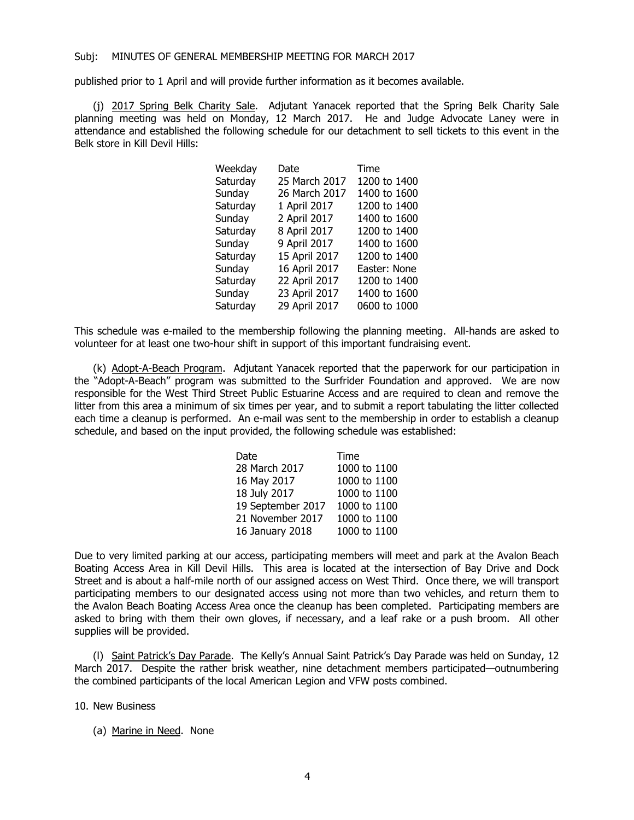#### Subj: MINUTES OF GENERAL MEMBERSHIP MEETING FOR MARCH 2017

published prior to 1 April and will provide further information as it becomes available.

 (j) 2017 Spring Belk Charity Sale. Adjutant Yanacek reported that the Spring Belk Charity Sale planning meeting was held on Monday, 12 March 2017. He and Judge Advocate Laney were in attendance and established the following schedule for our detachment to sell tickets to this event in the Belk store in Kill Devil Hills:

| Date          | Time         |
|---------------|--------------|
| 25 March 2017 | 1200 to 1400 |
| 26 March 2017 | 1400 to 1600 |
| 1 April 2017  | 1200 to 1400 |
| 2 April 2017  | 1400 to 1600 |
| 8 April 2017  | 1200 to 1400 |
| 9 April 2017  | 1400 to 1600 |
| 15 April 2017 | 1200 to 1400 |
| 16 April 2017 | Easter: None |
| 22 April 2017 | 1200 to 1400 |
| 23 April 2017 | 1400 to 1600 |
| 29 April 2017 | 0600 to 1000 |
|               |              |

This schedule was e-mailed to the membership following the planning meeting. All-hands are asked to volunteer for at least one two-hour shift in support of this important fundraising event.

(k) Adopt-A-Beach Program. Adjutant Yanacek reported that the paperwork for our participation in the "Adopt-A-Beach" program was submitted to the Surfrider Foundation and approved. We are now responsible for the West Third Street Public Estuarine Access and are required to clean and remove the litter from this area a minimum of six times per year, and to submit a report tabulating the litter collected each time a cleanup is performed. An e-mail was sent to the membership in order to establish a cleanup schedule, and based on the input provided, the following schedule was established:

| Date              | Time         |
|-------------------|--------------|
| 28 March 2017     | 1000 to 1100 |
| 16 May 2017       | 1000 to 1100 |
| 18 July 2017      | 1000 to 1100 |
| 19 September 2017 | 1000 to 1100 |
| 21 November 2017  | 1000 to 1100 |
| 16 January 2018   | 1000 to 1100 |

Due to very limited parking at our access, participating members will meet and park at the Avalon Beach Boating Access Area in Kill Devil Hills. This area is located at the intersection of Bay Drive and Dock Street and is about a half-mile north of our assigned access on West Third. Once there, we will transport participating members to our designated access using not more than two vehicles, and return them to the Avalon Beach Boating Access Area once the cleanup has been completed. Participating members are asked to bring with them their own gloves, if necessary, and a leaf rake or a push broom. All other supplies will be provided.

(I) Saint Patrick's Day Parade. The Kelly's Annual Saint Patrick's Day Parade was held on Sunday, 12 March 2017. Despite the rather brisk weather, nine detachment members participated—outnumbering the combined participants of the local American Legion and VFW posts combined.

10. New Business

(a) Marine in Need. None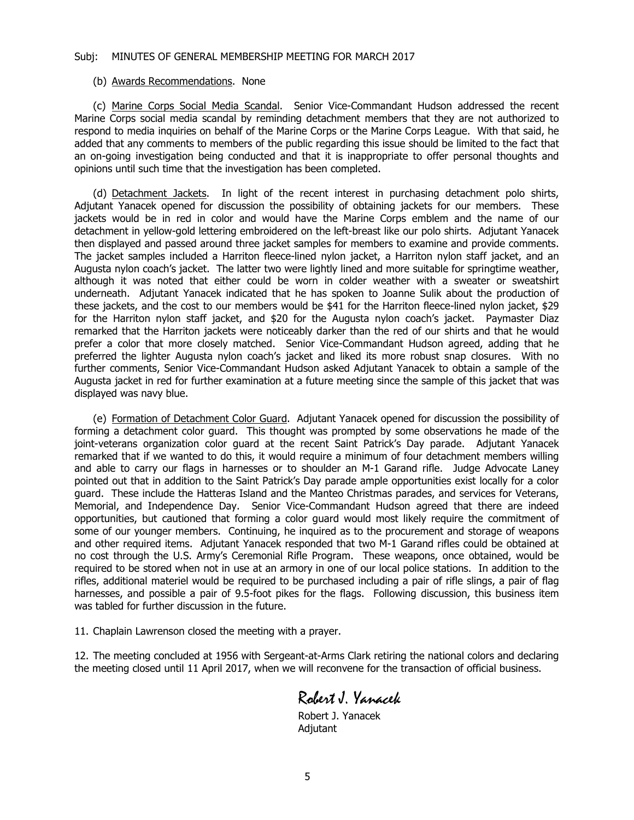## Subj: MINUTES OF GENERAL MEMBERSHIP MEETING FOR MARCH 2017

#### (b) Awards Recommendations. None

 (c) Marine Corps Social Media Scandal. Senior Vice-Commandant Hudson addressed the recent Marine Corps social media scandal by reminding detachment members that they are not authorized to respond to media inquiries on behalf of the Marine Corps or the Marine Corps League. With that said, he added that any comments to members of the public regarding this issue should be limited to the fact that an on-going investigation being conducted and that it is inappropriate to offer personal thoughts and opinions until such time that the investigation has been completed.

 (d) Detachment Jackets. In light of the recent interest in purchasing detachment polo shirts, Adjutant Yanacek opened for discussion the possibility of obtaining jackets for our members. These jackets would be in red in color and would have the Marine Corps emblem and the name of our detachment in yellow-gold lettering embroidered on the left-breast like our polo shirts. Adjutant Yanacek then displayed and passed around three jacket samples for members to examine and provide comments. The jacket samples included a Harriton fleece-lined nylon jacket, a Harriton nylon staff jacket, and an Augusta nylon coach's jacket. The latter two were lightly lined and more suitable for springtime weather, although it was noted that either could be worn in colder weather with a sweater or sweatshirt underneath. Adjutant Yanacek indicated that he has spoken to Joanne Sulik about the production of these jackets, and the cost to our members would be \$41 for the Harriton fleece-lined nylon jacket, \$29 for the Harriton nylon staff jacket, and \$20 for the Augusta nylon coach's jacket. Paymaster Diaz remarked that the Harriton jackets were noticeably darker than the red of our shirts and that he would prefer a color that more closely matched. Senior Vice-Commandant Hudson agreed, adding that he preferred the lighter Augusta nylon coach's jacket and liked its more robust snap closures. With no further comments, Senior Vice-Commandant Hudson asked Adjutant Yanacek to obtain a sample of the Augusta jacket in red for further examination at a future meeting since the sample of this jacket that was displayed was navy blue.

 (e) Formation of Detachment Color Guard. Adjutant Yanacek opened for discussion the possibility of forming a detachment color guard. This thought was prompted by some observations he made of the joint-veterans organization color guard at the recent Saint Patrick's Day parade. Adjutant Yanacek remarked that if we wanted to do this, it would require a minimum of four detachment members willing and able to carry our flags in harnesses or to shoulder an M-1 Garand rifle. Judge Advocate Laney pointed out that in addition to the Saint Patrick's Day parade ample opportunities exist locally for a color guard. These include the Hatteras Island and the Manteo Christmas parades, and services for Veterans, Memorial, and Independence Day. Senior Vice-Commandant Hudson agreed that there are indeed opportunities, but cautioned that forming a color guard would most likely require the commitment of some of our younger members. Continuing, he inquired as to the procurement and storage of weapons and other required items. Adjutant Yanacek responded that two M-1 Garand rifles could be obtained at no cost through the U.S. Army's Ceremonial Rifle Program. These weapons, once obtained, would be required to be stored when not in use at an armory in one of our local police stations. In addition to the rifles, additional materiel would be required to be purchased including a pair of rifle slings, a pair of flag harnesses, and possible a pair of 9.5-foot pikes for the flags. Following discussion, this business item was tabled for further discussion in the future.

11. Chaplain Lawrenson closed the meeting with a prayer.

12. The meeting concluded at 1956 with Sergeant-at-Arms Clark retiring the national colors and declaring the meeting closed until 11 April 2017, when we will reconvene for the transaction of official business.

Robert J. Yanacek

 Robert J. Yanacek Adjutant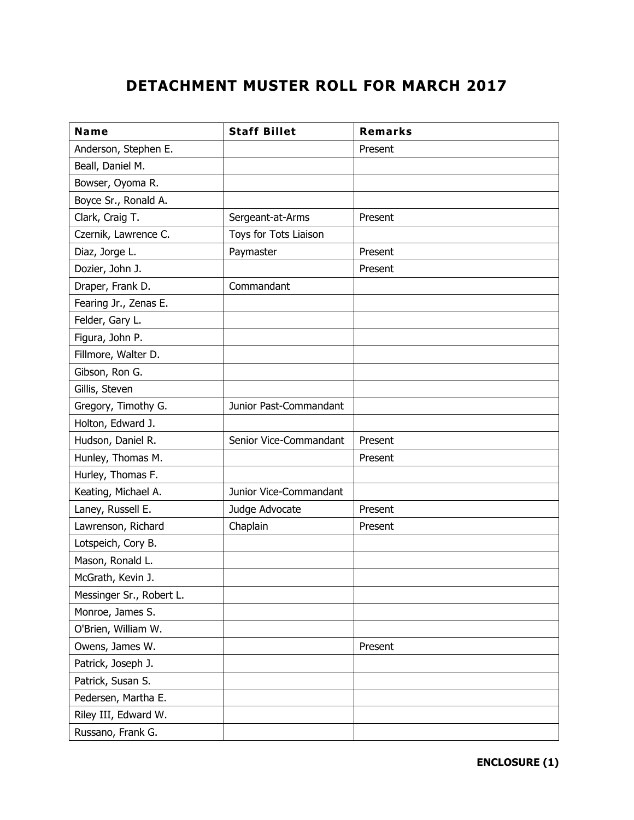# DETACHMENT MUSTER ROLL FOR MARCH 2017

| Name                     | <b>Staff Billet</b>    | <b>Remarks</b> |
|--------------------------|------------------------|----------------|
| Anderson, Stephen E.     |                        | Present        |
| Beall, Daniel M.         |                        |                |
| Bowser, Oyoma R.         |                        |                |
| Boyce Sr., Ronald A.     |                        |                |
| Clark, Craig T.          | Sergeant-at-Arms       | Present        |
| Czernik, Lawrence C.     | Toys for Tots Liaison  |                |
| Diaz, Jorge L.           | Paymaster              | Present        |
| Dozier, John J.          |                        | Present        |
| Draper, Frank D.         | Commandant             |                |
| Fearing Jr., Zenas E.    |                        |                |
| Felder, Gary L.          |                        |                |
| Figura, John P.          |                        |                |
| Fillmore, Walter D.      |                        |                |
| Gibson, Ron G.           |                        |                |
| Gillis, Steven           |                        |                |
| Gregory, Timothy G.      | Junior Past-Commandant |                |
| Holton, Edward J.        |                        |                |
| Hudson, Daniel R.        | Senior Vice-Commandant | Present        |
| Hunley, Thomas M.        |                        | Present        |
| Hurley, Thomas F.        |                        |                |
| Keating, Michael A.      | Junior Vice-Commandant |                |
| Laney, Russell E.        | Judge Advocate         | Present        |
| Lawrenson, Richard       | Chaplain               | Present        |
| Lotspeich, Cory B.       |                        |                |
| Mason, Ronald L.         |                        |                |
| McGrath, Kevin J.        |                        |                |
| Messinger Sr., Robert L. |                        |                |
| Monroe, James S.         |                        |                |
| O'Brien, William W.      |                        |                |
| Owens, James W.          |                        | Present        |
| Patrick, Joseph J.       |                        |                |
| Patrick, Susan S.        |                        |                |
| Pedersen, Martha E.      |                        |                |
| Riley III, Edward W.     |                        |                |
| Russano, Frank G.        |                        |                |

ENCLOSURE (1)